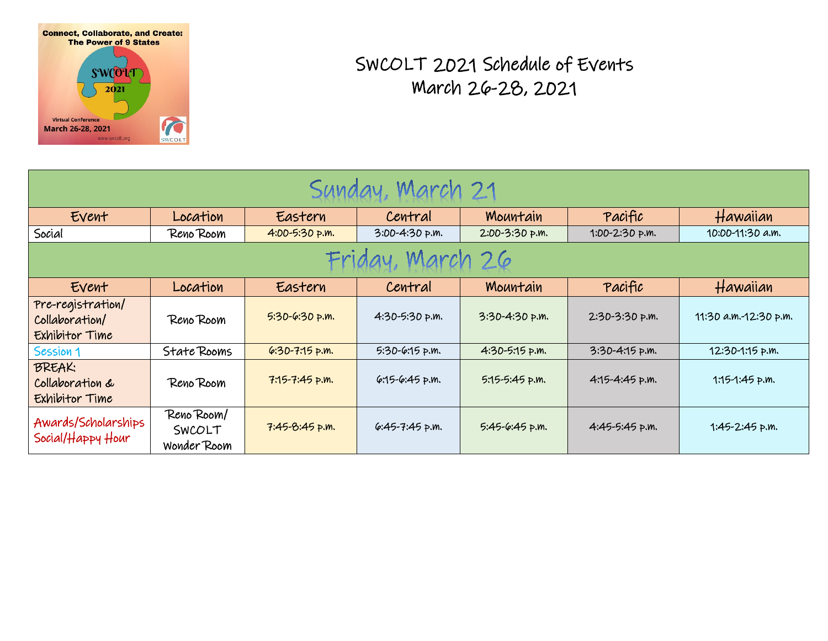

## SWCOLT 2021 Schedule of Events March 26-28, 2021

| Sunday, March 21                                      |                                     |                    |                    |                  |                    |                       |  |
|-------------------------------------------------------|-------------------------------------|--------------------|--------------------|------------------|--------------------|-----------------------|--|
| Event                                                 | Location                            | Eastern            | Central            | Mountain         | Pacific            | Hawaiian              |  |
| Social                                                | Reno Room                           | 4:00-5:30 p.m.     | 3:00-4:30 p.m.     | 2:00-3:30 p.m.   | 1:00-2:30 p.m.     | 10:00-11:30 a.m.      |  |
| Friday, March 26                                      |                                     |                    |                    |                  |                    |                       |  |
| Event                                                 | Location                            | Eastern            | Central            | Mountain         | Pacific            | Hawaiian              |  |
| Pre-registration/<br>Collaboration/<br>Exhibitor Time | Reno Room                           | $5:30-6:30$ p.m.   | 4:30-5:30 p.m.     | 3:30-4:30 p.m.   | $2:30-3:30$ p.m.   | 11:30 a.m.-12:30 p.m. |  |
| Session 1                                             | State Rooms                         | $6.30 - 7.15$ p.m. | $5:30-6:15 p.m.$   | 4:30-5:15 p.m.   | $3:30 - 4:15$ p.m. | 12:30-1:15 p.m.       |  |
| <b>BREAK:</b><br>Collaboration &<br>Exhibitor Time    | Reno Room                           | $7:15 - 7:45$ p.m. | $6:15-6:45$ p.m.   | $5:15-5:45$ p.m. | $4:15 - 4:45$ p.m. | $1:15-1:45$ p.m.      |  |
| Awards/Scholarships<br>Social/Happy Hour              | Reno Room/<br>SWCOLT<br>Wonder Room | $7:45-8:45$ p.m.   | $6:45 - 7:45$ p.m. | 5:45-6:45 p.m.   | $4:45-5:45$ p.m.   | $1:45-2:45$ p.m.      |  |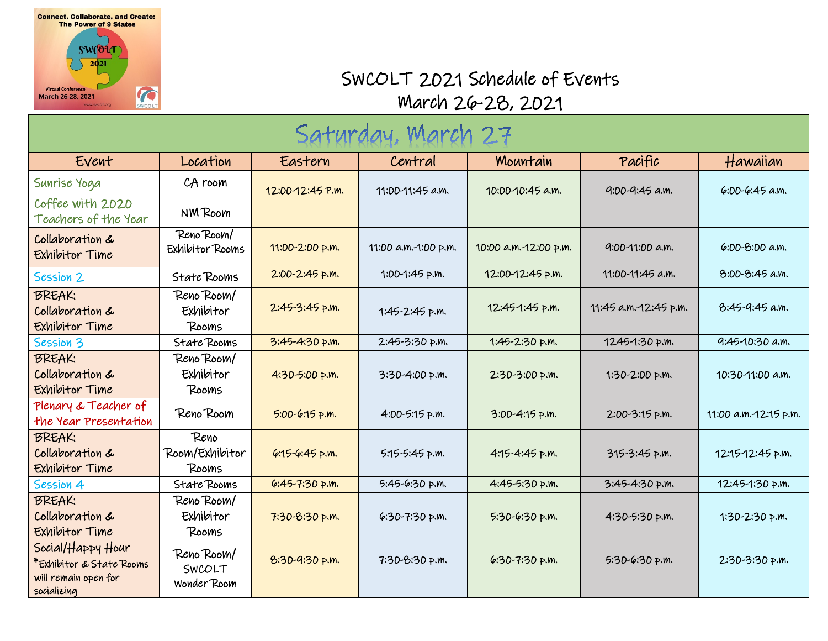

## SWCOLT 2021 Schedule of Events March 26-28, 2021

| Saturday, March 27                                                                   |                                     |                    |                      |                       |                       |                       |  |
|--------------------------------------------------------------------------------------|-------------------------------------|--------------------|----------------------|-----------------------|-----------------------|-----------------------|--|
| Event                                                                                | Location                            | Eastern            | Central              | Mountain              | Pacific               | Hawaiian              |  |
| Sunrise Yoga                                                                         | CA room                             | 12:00-12:45 P.m.   | 11:00-11:45 a.m.     | 10:00-10:45 a.m.      | 9:00-9:45 a.m.        | $6:00-6:45$ a.m.      |  |
| Coffee with 2020<br>Teachers of the Year                                             | NM Room                             |                    |                      |                       |                       |                       |  |
| Collaboration &<br>Exhibitor Time                                                    | Reno Room/<br>Exhibitor Rooms       | 11:00-2:00 p.m.    | 11:00 a.m.-1:00 p.m. | 10:00 a.m.-12:00 p.m. | 9:00-11:00 a.m.       | $6:00-8:00$ a.m.      |  |
| Session 2                                                                            | State Rooms                         | $2:00-2:45$ p.m.   | 1:00-1:45 p.m.       | 12:00-12:45 p.m.      | 11:00-11:45 a.m.      | 8:00-8:45 a.m.        |  |
| <b>BREAK:</b><br>Collaboration &<br>Exhibitor Time                                   | Reno Room/<br>Exhibitor<br>Rooms    | $2:45-3:45$ p.m.   | 1:45-2:45 p.m.       | 12:45-1:45 p.m.       | 11:45 a.m.-12:45 p.m. | $8:45-9:45$ a.m.      |  |
| Session 3                                                                            | State Rooms                         | $3:45 - 4:30$ p.m. | 2:45-3:30 p.m.       | 1:45-2:30 p.m.        | 1245-1:30 p.m.        | 9:45-10:30 a.m.       |  |
| <b>BREAK:</b><br>Collaboration &<br>Exhibitor Time                                   | Reno Room/<br>Exhibitor<br>Rooms    | 4:30-5:00 p.m.     | 3:30-4:00 p.m.       | 2:30-3:00 p.m.        | 1:30-2:00 p.m.        | 10:30-11:00 a.m.      |  |
| Plenary & Teacher of<br>the Year Presentation                                        | Reno Room                           | $5:00-6:15$ p.m.   | 4:00-5:15 p.m.       | $3:00 - 4:15$ p.m.    | 2:00-3:15 p.m.        | 11:00 a.m.-12:15 p.m. |  |
| <b>BREAK:</b><br>Collaboration &<br>Exhibitor Time                                   | Reno<br>Room/Exhibitor<br>Rooms     | $6.15 - 6.45$ p.m. | 5:15-5:45 p.m.       | $4:15 - 4:45$ p.m.    | 315-3:45 p.m.         | 12:15-12:45 p.m.      |  |
| Session 4                                                                            | State Rooms                         | $6:45 - 7:30$ p.m. | 5:45-6:30 p.m.       | 4:45-5:30 p.m.        | 3:45-4:30 p.m.        | 12:45-1:30 p.m.       |  |
| <b>BREAK:</b><br>Collaboration &<br>Exhibitor Time                                   | Reno Room/<br>Exhibitor<br>Rooms    | 7:30-8:30 p.m.     | $6:30 - 7:30$ p.m.   | 5:30-6:30 p.m.        | 4:30-5:30 p.m.        | 1:30-2:30 p.m.        |  |
| Social/Happy Hour<br>*Exhibitor & State Rooms<br>will remain open for<br>socializing | Reno Room/<br>SWCOLT<br>Wonder Room | 8:30-9:30 p.m.     | 7:30-8:30 p.m.       | $6:30 - 7:30$ p.m.    | 5:30-6:30 p.m.        | 2:30-3:30 p.m.        |  |